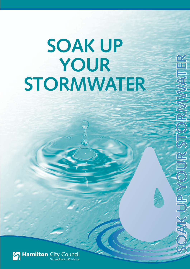# **SOAK UP YOUR STORMWATER**

**SOAK UP YOUR STORMWATER**

 $\frac{1}{2}$ 

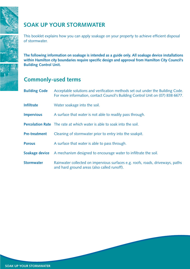

# **SOAK UP YOUR STORMWATER**

This booklet explains how you can apply soakage on your property to achieve efficient disposal of stormwater.

**The following information on soakage is intended as a guide only. All soakage device installations within Hamilton city boundaries require specific design and approval from Hamilton City Council's Building Control Unit.**

# **Commonly-used terms**

| <b>Building Code</b> | Acceptable solutions and verification methods set out under the Building Code.<br>For more information, contact Council's Building Control Unit on (07) 838 6677. |  |  |
|----------------------|-------------------------------------------------------------------------------------------------------------------------------------------------------------------|--|--|
| <b>Infiltrate</b>    | Water soakage into the soil.                                                                                                                                      |  |  |
| <b>Impervious</b>    | A surface that water is not able to readily pass through.                                                                                                         |  |  |
|                      | <b>Percolation Rate</b> The rate at which water is able to soak into the soil.                                                                                    |  |  |
| <b>Pre-treatment</b> | Cleaning of stormwater prior to entry into the soakpit.                                                                                                           |  |  |
| <b>Porous</b>        | A surface that water is able to pass through.                                                                                                                     |  |  |
| Soakage device       | A mechanism designed to encourage water to infiltrate the soil.                                                                                                   |  |  |
| <b>Stormwater</b>    | Rainwater collected on impervious surfaces e.g. roofs, roads, driveways, paths<br>and hard ground areas (also called runoff).                                     |  |  |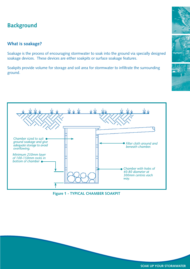# **Background**

## **What is soakage?**

Soakage is the process of encouraging stormwater to soak into the ground via specially designed soakage devices. These devices are either soakpits or surface soakage features.

Soakpits provide volume for storage and soil area for stormwater to infiltrate the surrounding ground.







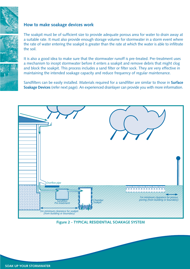

#### **How to make soakage devices work**

The soakpit must be of sufficient size to provide adequate porous area for water to drain away at a suitable rate. It must also provide enough storage volume for stormwater in a storm event where the rate of water entering the soakpit is greater than the rate at which the water is able to infiltrate the soil.

It is also a good idea to make sure that the stormwater runoff is pre-treated. Pre-treatment uses a mechanism to incept stormwater before it enters a soakpit and remove debris that might clog and block the soakpit. This process includes a sand filter or filter sock. They are very effective in maintaining the intended soakage capacity and reduce frequency of regular maintenance.

Sandfilters can be easily installed. Materials required for a sandfilter are similar to those in **Surface Soakage Devices** (refer next page). An experienced drainlayer can provide you with more information.



**Figure 2 - TYPICAL RESIDENTIAL SOAKAGE SYSTEM**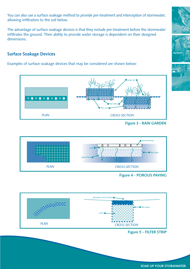You can also use a surface soakage method to provide pre-treatment and interception of stormwater, allowing infiltration to the soil below.

The advantage of surface soakage devices is that they include pre-treatment before the stormwater infiltrates the ground. Their ability to provide water storage is dependent on their designed dimensions.

## **Surface Soakage Devices**

Examples of surface soakage devices that may be considered are shown below:



**Figure 3 - RAIN GARDEN**



**Figure 4 - POROUS PAVING**



**Figure 5 - FILTER STRIP**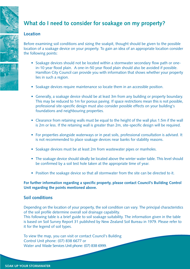# **What do I need to consider for soakage on my property?**

### **Location**

Before examining soil conditions and sizing the soakpit, thought should be given to the possible location of a soakage device on your property. To gain an idea of an appropriate location consider the following points:

- Soakage devices should not be located within a stormwater secondary flow path or onein-10 year flood plain. A one-in-50 year flood plain should also be avoided if possible. Hamilton City Council can provide you with information that shows whether your property lies in such a region.
- Soakage devices require maintenance so locate them in an accessible position.
- Generally, a soakage device should be at least 3m from any building or property boundary. This may be reduced to 1m for porous paving. If space restrictions mean this is not possible, professional site-specific design must also consider possible effects on your building's foundations and neighbouring properties.
- Clearance from retaining walls must be equal to the height of the wall plus 1.5m if the wall is 2m or less. If the retaining wall is greater than 2m, site-specific design will be required.
- For properties alongside waterways or in peat soils, professional consultation is advised. It is not recommended to place soakage devices near banks for stability reasons.
- Soakage devices must be at least 2m from wastewater pipes or manholes.
- The soakage device should ideally be located above the winter water table. This level should be confirmed by a soil test hole taken at the appropriate time of year.
- Position the soakage device so that all stormwater from the site can be directed to it.

#### **For further information regarding a specific property, please contact Council's Building Control Unit regarding the points mentioned above.**

#### **Soil conditions**

Depending on the location of your property, the soil condition can vary. The principal characteristics of the soil profile determine overall soil drainage capability.

This following table is a brief guide to soil soakage suitability. The information given in the table is based on Soil Survey Report 31 published by New Zealand Soil Bureau in 1979. Please refer to it for the legend of soil types.

To view the map, you can visit or contact Council's Building Control Unit phone: (07) 838 6677 or Water and Waste Services Unit phone: (07) 838 6999.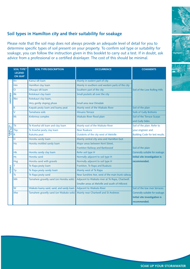## **Soil types in Hamilton city and their suitability for soakage**

Please note that the soil map does not always provide an adequate level of detail for you to determine specific types of soil present on your property. To confirm soil type or suitability for soakage, you can follow the instruction given in this booklet to carry out a test. If in doubt, ask advice from a professional or a certified drainlayer. The cost of this should be minimal.

|                         | <b>SOIL TYPE*</b><br><b>LEGEND</b><br><b>ON MAP</b> | <b>SOIL TYPE/DESCRIPTION</b>              | <b>OCCURRENCE</b>                                 | <b>COMMENTS</b>                 |
|-------------------------|-----------------------------------------------------|-------------------------------------------|---------------------------------------------------|---------------------------------|
| <b>UNSUITABLE</b>       | Kn                                                  | Kainui silt loam                          | Mainly in eastern part of city                    |                                 |
|                         | <b>Hm</b>                                           | Hamilton clay loam                        | Mainly in southern and western parts of the city  |                                 |
|                         | $\circ$                                             | Ohaupo silt loam                          | Southern part of the city                         | Soil of the Low Rolling Hills   |
|                         | Rk                                                  | Rotokauri clay loam                       | Small pockets all over the city                   |                                 |
|                         | <b>Rkv</b>                                          | Rotokauri clay loam,                      |                                                   |                                 |
|                         |                                                     | Very gently sloping phase                 | Small area near Dinsdale                          |                                 |
|                         | K                                                   | Kaipaki peaty loam and loamy peat         | Mainly west of the Waikato River                  | Soil of the plain               |
|                         | $\vee$                                              | Tamahana soils                            | <b>Hinuera Terrace</b>                            | <b>Soils of Gully Bottoms</b>   |
|                         | Kk                                                  | Kirikiriroa complex                       | Waikato River flood plain                         | Soil of the Terrace Scarps      |
|                         |                                                     |                                           |                                                   | and Gully Sides                 |
| SUBJECT TO<br>SOIL TEST | <b>Tk</b>                                           | Te Kowhai silt loam and clay loam         | Mainly east of the Waikato River                  | Soil of the plain. Refer to     |
|                         | <b>Tkp</b>                                          | Te Kowhai peaty clay loam                 | Near Ruakura                                      | your engineer and               |
|                         | IR.                                                 | Rukuhia peat                              | Outskirts of the city west of Melville            | Building Code for test results. |
| <b>SUITABLE</b>         | Н                                                   | Horotiu sandy loam                        | Mainly central city area and Hamilton East        |                                 |
|                         | Ha                                                  | Horotiu mottled sandy loam                | Major areas between Kent Street,                  |                                 |
|                         |                                                     |                                           | Frankton Railway and Bankwood                     | Soil of the plain               |
|                         | Hb                                                  | Horotiu sandy clay loam                   | Refer soil type H                                 | Generally suitable for soakage. |
|                         | <b>Hs</b>                                           | Horotiu sand                              | Normally adjacent to soil type H                  | Initial site investigation is   |
|                         | <b>Hsg</b>                                          | Horotiu sand with gravels                 | Normally adjacent to soil type H                  | recommended.                    |
|                         | T                                                   | Te Rapa peaty loam                        | Frankton, Te Rapa and Ruakura                     |                                 |
|                         | Tp                                                  | Te Rapa peaty sandy loam                  | Mainly west of Te Rapa                            |                                 |
|                         | Ts                                                  | Te Rapa peaty sand                        | Near Sunshine Ave, west of the main trunk railway |                                 |
|                         | Mh                                                  | Tamahere gravelly sand (on Horotiu soils) | Adjacent to Waikato river at Te Rapa, Chartwell.  |                                 |
|                         |                                                     |                                           | Smaller areas at Melville and south of Hillcrest  |                                 |
|                         | W                                                   | Waikato loamy sand, sand, and sandy loam  | Adjacent to Waikato River                         | Soil of the low river terraces. |
|                         | Mw                                                  | Tamahere gravelly sand (on Waikato soils) | Mainly near Chartwell and St Andrews              | Generally suitable for soakage. |
|                         |                                                     |                                           |                                                   | Initial site investigation is   |
|                         |                                                     |                                           |                                                   | recommended.                    |



**SOAK UP YOUR STORMWATER**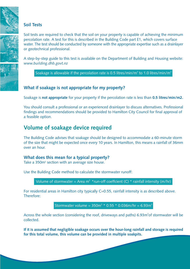## **Soil Tests**

Soil tests are required to check that the soil on your property is capable of achieving the minimum percolation rate. A test for this is described in the Building Code part E1, which covers surface water. The test should be conducted by someone with the appropriate expertise such as a drainlayer or geotechnical professional.

A step-by-step guide to this test is available on the Department of Building and Housing website: *www.building.dhb.govt.nz*

Soakage is allowable if the percolation rate is 0.5 litres/min/m<sup>2</sup> to 1.0 litres/min/m<sup>2</sup>

## **What if soakage is not appropriate for my property?**

Soakage is **not appropriate** for your property if the percolation rate is less than **0.5 litres/min/m2.**

You should consult a professional or an experienced drainlayer to discuss alternatives. Professional findings and recommendations should be provided to Hamilton City Council for final approval of a feasible option.

# **Volume of soakage device required**

The Building Code advises that soakage should be designed to accommodate a 60-minute storm of the size that might be expected once every 10 years. In Hamilton, this means a rainfall of 36mm over an hour.

#### **What does this mean for a typical property?**

Take a 350 $m<sup>2</sup>$  section with an average size house.

Use the Building Code method to calculate the stormwater runoff:

Volume of stormwater = Area m<sup>2</sup> \* run-off coeffcient (C) \* rainfall intensity (m/hr)

For residential areas in Hamilton city typically C=0.55, rainfall intensity is as described above. Therefore:

Stormwater volume =  $350m^2 * 0.55 * 0.036m/hr = 6.93m^3$ 

Across the whole section (considering the roof, driveways and paths) 6.93m<sup>3</sup>of stormwater will be collected.

**If it is assumed that negligible soakage occurs over the hour-long rainfall and storage is required for this total volume, this volume can be provided in multiple soakpits.**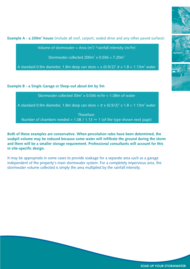

Volume of stormwater = Area  $(m^2)$  \*rainfall intensity (m/hr)

Stormwater collected  $200m^2 \times 0.036 = 7.20m^3$ 

A standard 0.9m diameter, 1.8m deep can store = x (0.9/2) $^2$   $\pi$  x 1.8 = 1.13m $^3$  water

#### **Example B - a Single Garage or Sleep-out about 6m by 5m**

Stormwater collected  $30m^2 \times 0.036$  m/hr = 1.08m of water

A standard 0.9m diameter, 1.8m deep can store =  $\pi$  x (0.9/2) $^2$  x 1.8 = 1.13m $^3$  water

Therefore:

Number of chambers needed = 1.08 / 1.13  $\approx$  1 (of the type shown next page)

**Both of these examples are conservative. When percolation rates have been determined, the soakpit volume may be reduced because some water will infiltrate the ground during the storm and there will be a smaller storage requirement. Professional consultants will account for this in site-specific design.**

It may be appropriate in some cases to provide soakage for a separate area such as a garage independent of the property's main stormwater system. For a completely impervious area, the stormwater volume collected is simply the area multiplied by the rainfall intensity.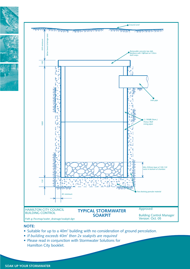

#### **NOTE:**

- Suitable for up to a 40 $m<sup>2</sup>$  building with no consideration of ground percolation.
- If building exceeds 40m<sup>2</sup> then 2x soakpits are required
- Please read in conjunction with Stormwater Solutions for Hamilton City booklet.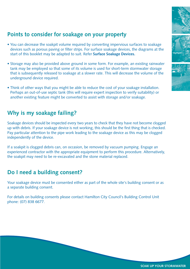# **Points to consider for soakage on your property**

- You can decrease the soakpit volume required by converting impervious surfaces to soakage devices such as porous paving or filter strips. For surface soakage devices, the diagrams at the start of this booklet may be adapted to suit. Refer **Surface Soakage Devices.**
- Storage may also be provided above ground in some form. For example, an existing rainwater tank may be employed so that some of its volume is used for short-term stormwater storage that is subsequently released to soakage at a slower rate. This will decrease the volume of the underground device required.
- Think of other ways that you might be able to reduce the cost of your soakage installation. Perhaps an out-of-use septic tank (this will require expert inspection to verify suitability) or another existing feature might be converted to assist with storage and/or soakage.

# **Why is my soakage failing?**

Soakage devices should be inspected every two years to check that they have not become clogged up with debris. If your soakage device is not working, this should be the first thing that is checked. Pay particular attention to the pipe work leading to the soakage device as this may be clogged independently of the device.

If a soakpit is clogged debris can, on occasion, be removed by vacuum pumping. Engage an experienced contractor with the appropriate equipment to perform this procedure. Alternatively, the soakpit may need to be re-excavated and the stone material replaced.

# **Do I need a building consent?**

Your soakage device must be consented either as part of the whole site's building consent or as a separate building consent.

For details on building consents please contact Hamilton City Council's Building Control Unit phone: (07) 838 6677.